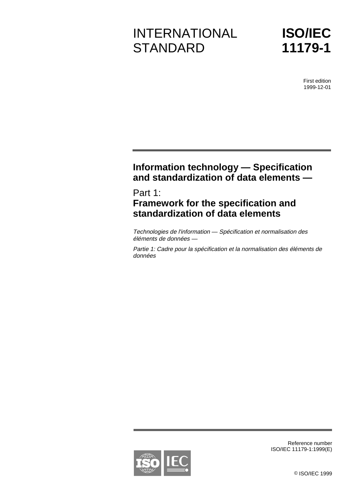# INTERNATIONAL **STANDARD**

**ISO/IEC 11179-1**

> First edition 1999-12-01

# **Information technology — Specification and standardization of data elements —**

## Part 1: **Framework for the specification and standardization of data elements**

Technologies de l'information — Spécification et normalisation des éléments de données —

Partie 1: Cadre pour la spécification et la normalisation des éléments de données

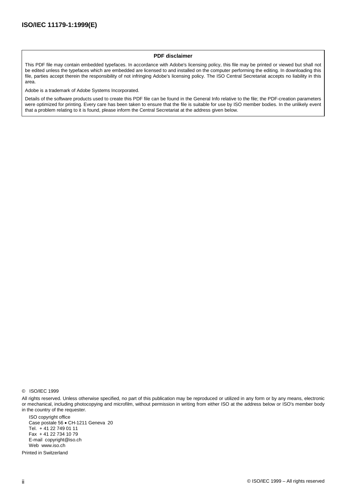#### **PDF disclaimer**

This PDF file may contain embedded typefaces. In accordance with Adobe's licensing policy, this file may be printed or viewed but shall not be edited unless the typefaces which are embedded are licensed to and installed on the computer performing the editing. In downloading this file, parties accept therein the responsibility of not infringing Adobe's licensing policy. The ISO Central Secretariat accepts no liability in this area.

Adobe is a trademark of Adobe Systems Incorporated.

Details of the software products used to create this PDF file can be found in the General Info relative to the file; the PDF-creation parameters were optimized for printing. Every care has been taken to ensure that the file is suitable for use by ISO member bodies. In the unlikely event that a problem relating to it is found, please inform the Central Secretariat at the address given below.

All rights reserved. Unless otherwise specified, no part of this publication may be reproduced or utilized in any form or by any means, electronic or mechanical, including photocopying and microfilm, without permission in writing from either ISO at the address below or ISO's member body in the country of the requester.

ISO copyright office Case postale 56 · CH-1211 Geneva 20 Tel. + 41 22 749 01 11 Fax + 41 22 734 10 79 E-mail copyright@iso.ch Web www.iso.ch

Printed in Switzerland

<sup>©</sup> ISO/IEC 1999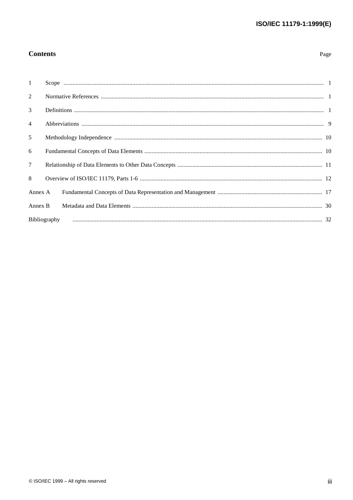### **Contents**

| ۰,<br>×<br>٠ |
|--------------|
|--------------|

| $\mathbf{1}$    |              |  |
|-----------------|--------------|--|
| 2               |              |  |
| $\mathcal{E}$   |              |  |
| $\overline{4}$  |              |  |
| $\mathfrak{H}$  |              |  |
| 6               |              |  |
| $7\overline{ }$ |              |  |
| 8               |              |  |
| Annex A         |              |  |
| Annex B         |              |  |
|                 | Bibliography |  |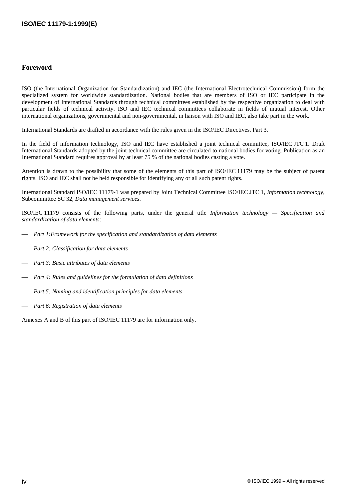#### **Foreword**

ISO (the International Organization for Standardization) and IEC (the International Electrotechnical Commission) form the specialized system for worldwide standardization. National bodies that are members of ISO or IEC participate in the development of International Standards through technical committees established by the respective organization to deal with particular fields of technical activity. ISO and IEC technical committees collaborate in fields of mutual interest. Other international organizations, governmental and non-governmental, in liaison with ISO and IEC, also take part in the work.

International Standards are drafted in accordance with the rules given in the ISO/IEC Directives, Part 3.

In the field of information technology, ISO and IEC have established a joint technical committee, ISO/IEC JTC 1. Draft International Standards adopted by the joint technical committee are circulated to national bodies for voting. Publication as an International Standard requires approval by at least 75 % of the national bodies casting a vote.

Attention is drawn to the possibility that some of the elements of this part of ISO/IEC 11179 may be the subject of patent rights. ISO and IEC shall not be held responsible for identifying any or all such patent rights.

International Standard ISO/IEC 11179-1 was prepared by Joint Technical Committee ISO/IEC JTC 1, *Information technology*, Subcommittee SC 32, *Data management services*.

ISO/IEC 11179 consists of the following parts, under the general title *Information technology — Specification and standardization of data elements*:

- *Part 1:Framework for the specification and standardization of data elements*
- *Part 2: Classification for data elements*
- *Part 3: Basic attributes of data elements*
- *Part 4: Rules and guidelines for the formulation of data definitions*
- *Part 5: Naming and identification principles for data elements*
- *Part 6: Registration of data elements*

Annexes A and B of this part of ISO/IEC 11179 are for information only.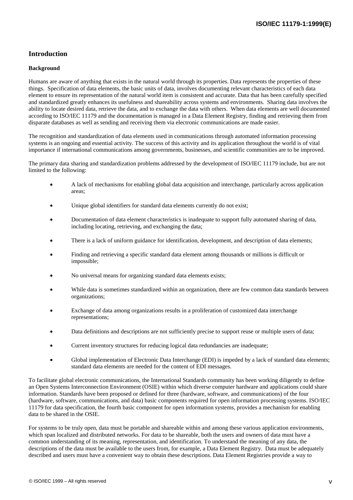### **Introduction**

#### **Background**

Humans are aware of anything that exists in the natural world through its properties. Data represents the properties of these things. Specification of data elements, the basic units of data, involves documenting relevant characteristics of each data element to ensure its representation of the natural world item is consistent and accurate. Data that has been carefully specified and standardized greatly enhances its usefulness and shareability across systems and environments. Sharing data involves the ability to locate desired data, retrieve the data, and to exchange the data with others. When data elements are well documented according to ISO/IEC 11179 and the documentation is managed in a Data Element Registry, finding and retrieving them from disparate databases as well as sending and receiving them via electronic communications are made easier.

The recognition and standardization of data elements used in communications through automated information processing systems is an ongoing and essential activity. The success of this activity and its application throughout the world is of vital importance if international communications among governments, businesses, and scientific communities are to be improved.

The primary data sharing and standardization problems addressed by the development of ISO/IEC 11179 include, but are not limited to the following:

- - A lack of mechanisms for enabling global data acquisition and interchange, particularly across application areas;
- -Unique global identifiers for standard data elements currently do not exist;
- - Documentation of data element characteristics is inadequate to support fully automated sharing of data, including locating, retrieving, and exchanging the data;
- -There is a lack of uniform guidance for identification, development, and description of data elements;
- - Finding and retrieving a specific standard data element among thousands or millions is difficult or impossible;
- -No universal means for organizing standard data elements exists;
- - While data is sometimes standardized within an organization, there are few common data standards between organizations;
- - Exchange of data among organizations results in a proliferation of customized data interchange representations;
- -Data definitions and descriptions are not sufficiently precise to support reuse or multiple users of data;
- -Current inventory structures for reducing logical data redundancies are inadequate;
- - Global implementation of Electronic Data Interchange (EDI) is impeded by a lack of standard data elements; standard data elements are needed for the content of EDI messages.

To facilitate global electronic communications, the International Standards community has been working diligently to define an Open Systems Interconnection Environment (OSIE) within which diverse computer hardware and applications could share information. Standards have been proposed or defined for three (hardware, software, and communications) of the four (hardware, software, communications, and data) basic components required for open information processing systems. ISO/IEC 11179 for data specification, the fourth basic component for open information systems, provides a mechanism for enabling data to be shared in the OSIE.

For systems to be truly open, data must be portable and shareable within and among these various application environments, which span localized and distributed networks. For data to be shareable, both the users and owners of data must have a common understanding of its meaning, representation, and identification. To understand the meaning of any data, the descriptions of the data must be available to the users from, for example, a Data Element Registry. Data must be adequately described and users must have a convenient way to obtain these descriptions. Data Element Registries provide a way to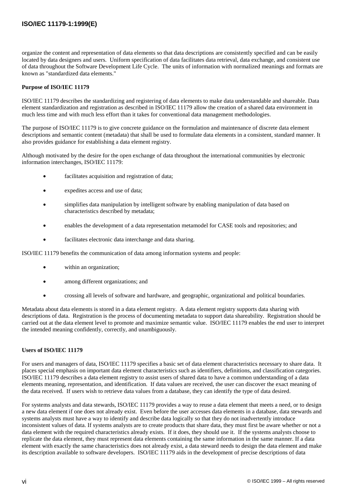organize the content and representation of data elements so that data descriptions are consistently specified and can be easily located by data designers and users. Uniform specification of data facilitates data retrieval, data exchange, and consistent use of data throughout the Software Development Life Cycle. The units of information with normalized meanings and formats are known as "standardized data elements."

#### **Purpose of ISO/IEC 11179**

ISO/IEC 11179 describes the standardizing and registering of data elements to make data understandable and shareable. Data element standardization and registration as described in ISO/IEC 11179 allow the creation of a shared data environment in much less time and with much less effort than it takes for conventional data management methodologies.

The purpose of ISO/IEC 11179 is to give concrete guidance on the formulation and maintenance of discrete data element descriptions and semantic content (metadata) that shall be used to formulate data elements in a consistent, standard manner. It also provides guidance for establishing a data element registry.

Although motivated by the desire for the open exchange of data throughout the international communities by electronic information interchanges, ISO/IEC 11179:

- facilitates acquisition and registration of data;
- expedites access and use of data;
- simplifies data manipulation by intelligent software by enabling manipulation of data based on characteristics described by metadata;
- enables the development of a data representation metamodel for CASE tools and repositories; and
- facilitates electronic data interchange and data sharing.

ISO/IEC 11179 benefits the communication of data among information systems and people:

- within an organization;
- among different organizations; and
- crossing all levels of software and hardware, and geographic, organizational and political boundaries.

Metadata about data elements is stored in a data element registry. A data element registry supports data sharing with descriptions of data. Registration is the process of documenting metadata to support data shareability. Registration should be carried out at the data element level to promote and maximize semantic value. ISO/IEC 11179 enables the end user to interpret the intended meaning confidently, correctly, and unambiguously.

#### **Users of ISO/IEC 11179**

For users and managers of data, ISO/IEC 11179 specifies a basic set of data element characteristics necessary to share data. It places special emphasis on important data element characteristics such as identifiers, definitions, and classification categories. ISO/IEC 11179 describes a data element registry to assist users of shared data to have a common understanding of a data elements meaning, representation, and identification. If data values are received, the user can discover the exact meaning of the data received. If users wish to retrieve data values from a database, they can identify the type of data desired.

For systems analysts and data stewards, ISO/IEC 11179 provides a way to reuse a data element that meets a need, or to design a new data element if one does not already exist. Even before the user accesses data elements in a database, data stewards and systems analysts must have a way to identify and describe data logically so that they do not inadvertently introduce inconsistent values of data. If systems analysts are to create products that share data, they must first be aware whether or not a data element with the required characteristics already exists. If it does, they should use it. If the systems analysts choose to replicate the data element, they must represent data elements containing the same information in the same manner. If a data element with exactly the same characteristics does not already exist, a data steward needs to design the data element and make its description available to software developers. ISO/IEC 11179 aids in the development of precise descriptions of data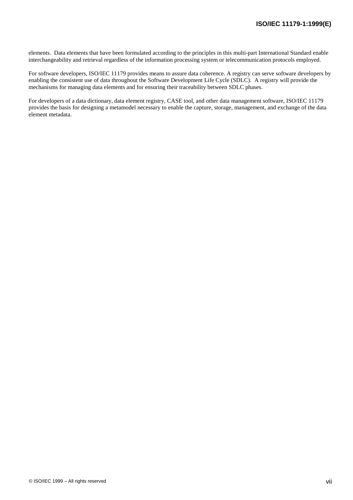elements. Data elements that have been formulated according to the principles in this multi-part International Standard enable interchangeability and retrieval regardless of the information processing system or telecommunication protocols employed.

For software developers, ISO/IEC 11179 provides means to assure data coherence. A registry can serve software developers by enabling the consistent use of data throughout the Software Development Life Cycle (SDLC). A registry will provide the mechanisms for managing data elements and for ensuring their traceability between SDLC phases.

For developers of a data dictionary, data element registry, CASE tool, and other data management software, ISO/IEC 11179 provides the basis for designing a metamodel necessary to enable the capture, storage, management, and exchange of the data element metadata.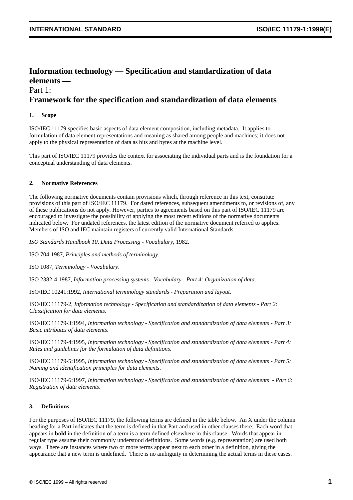### **Information technology — Specification and standardization of data elements —** Part 1:

### **Framework for the specification and standardization of data elements**

#### **1. Scope**

ISO/IEC 11179 specifies basic aspects of data element composition, including metadata. It applies to formulation of data element representations and meaning as shared among people and machines; it does not apply to the physical representation of data as bits and bytes at the machine level.

This part of ISO/IEC 11179 provides the context for associating the individual parts and is the foundation for a conceptual understanding of data elements.

#### **2. Normative References**

The following normative documents contain provisions which, through reference in this text, constitute provisions of this part of ISO/IEC 11179. For dated references, subsequent amendments to, or revisions of, any of these publications do not apply. However, parties to agreements based on this part of ISO/IEC 11179 are encouraged to investigate the possibility of applying the most recent editions of the normative documents indicated below. For undated references, the latest edition of the normative document referred to applies. Members of ISO and IEC maintain registers of currently valid International Standards.

*ISO Standards Handbook 10, Data Processing - Vocabulary*, 1982.

ISO 704:1987, *Principles and methods of terminology*.

ISO 1087, *Terminology - Vocabulary*.

ISO 2382-4:1987, *Information processing systems - Vocabulary - Part 4: Organization of data*.

ISO/IEC 10241:1992, *International terminology standards - Preparation and layout.*

ISO/IEC 11179-2, *Information technology - Specification and standardization of data elements - Part 2: Classification for data elements*.

ISO/IEC 11179-3:1994*, Information technology - Specification and standardization of data elements - Part 3: Basic attributes of data elements*.

ISO/IEC 11179-4:1995, *Information technology - Specification and standardization of data elements - Part 4: Rules and guidelines for the formulation of data definitions*.

ISO/IEC 11179-5:1995, *Information technology - Specification and standardization of data elements - Part 5: Naming and identification principles for data elements*.

ISO/IEC 11179-6:1997*, Information technology - Specification and standardization of data elements - Part 6: Registration of data elements*.

#### **3. Definitions**

For the purposes of ISO/IEC 11179, the following terms are defined in the table below. An X under the column heading for a Part indicates that the term is defined in that Part and used in other clauses there. Each word that appears in **bold** in the definition of a term is a term defined elsewhere in this clause. Words that appear in regular type assume their commonly understood definitions. Some words (e.g. representation) are used both ways. There are instances where two or more terms appear next to each other in a definition, giving the appearance that a new term is undefined. There is no ambiguity in determining the actual terms in these cases.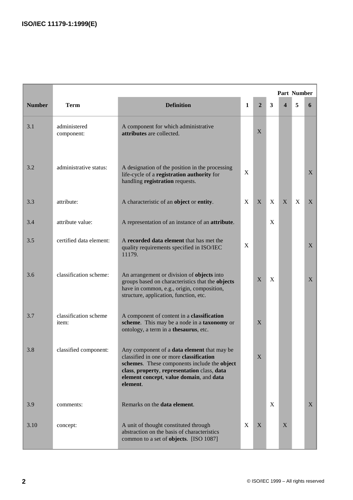|               | <b>Part Number</b>             |                                                                                                                                                                                                                                                      |              |                |   |                  |   |   |
|---------------|--------------------------------|------------------------------------------------------------------------------------------------------------------------------------------------------------------------------------------------------------------------------------------------------|--------------|----------------|---|------------------|---|---|
| <b>Number</b> | <b>Term</b>                    | <b>Definition</b>                                                                                                                                                                                                                                    | 1            | $\overline{2}$ | 3 | $\boldsymbol{4}$ | 5 | 6 |
| 3.1           | administered<br>component:     | A component for which administrative<br>attributes are collected.                                                                                                                                                                                    |              | X              |   |                  |   |   |
| 3.2           | administrative status:         | A designation of the position in the processing<br>life-cycle of a registration authority for<br>handling registration requests.                                                                                                                     | X            |                |   |                  |   | X |
| 3.3           | attribute:                     | A characteristic of an object or entity.                                                                                                                                                                                                             | $\mathbf{X}$ | X              | X | X                | X | X |
| 3.4           | attribute value:               | A representation of an instance of an attribute.                                                                                                                                                                                                     |              |                | X |                  |   |   |
| 3.5           | certified data element:        | A recorded data element that has met the<br>quality requirements specified in ISO/IEC<br>11179.                                                                                                                                                      | X            |                |   |                  |   | X |
| 3.6           | classification scheme:         | An arrangement or division of objects into<br>groups based on characteristics that the objects<br>have in common, e.g., origin, composition,<br>structure, application, function, etc.                                                               |              | X              | X |                  |   | X |
| 3.7           | classification scheme<br>item: | A component of content in a classification<br>scheme. This may be a node in a taxonomy or<br>ontology, a term in a thesaurus, etc.                                                                                                                   |              | X              |   |                  |   |   |
| 3.8           | classified component:          | Any component of a <b>data element</b> that may be<br>classified in one or more classification<br>schemes. These components include the object<br>class, property, representation class, data<br>element concept, value domain, and data<br>element. |              | $\mathbf X$    |   |                  |   |   |
| 3.9           | comments:                      | Remarks on the data element.                                                                                                                                                                                                                         |              |                | X |                  |   | X |
| 3.10          | concept:                       | A unit of thought constituted through<br>abstraction on the basis of characteristics<br>common to a set of objects. [ISO 1087]                                                                                                                       | $\mathbf{X}$ | X              |   | X                |   |   |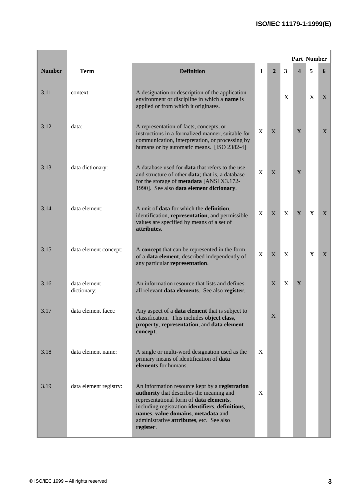|               |                             |                                                                                                                                                                                                                                                                                          |   |                |                         | <b>Part Number</b>      |   |   |
|---------------|-----------------------------|------------------------------------------------------------------------------------------------------------------------------------------------------------------------------------------------------------------------------------------------------------------------------------------|---|----------------|-------------------------|-------------------------|---|---|
| <b>Number</b> | <b>Term</b>                 | <b>Definition</b>                                                                                                                                                                                                                                                                        | 1 | $\overline{2}$ | $\overline{\mathbf{3}}$ | $\overline{\mathbf{4}}$ | 5 | 6 |
| 3.11          | context:                    | A designation or description of the application<br>environment or discipline in which a name is<br>applied or from which it originates.                                                                                                                                                  |   |                | X                       |                         | X | X |
| 3.12          | data:                       | A representation of facts, concepts, or<br>instructions in a formalized manner, suitable for<br>communication, interpretation, or processing by<br>humans or by automatic means. [ISO 2382-4]                                                                                            | X | X              |                         | X                       |   | X |
| 3.13          | data dictionary:            | A database used for <b>data</b> that refers to the use<br>and structure of other data; that is, a database<br>for the storage of metadata [ANSI X3.172-<br>1990]. See also data element dictionary.                                                                                      | X | X              |                         | X                       |   |   |
| 3.14          | data element:               | A unit of data for which the definition,<br>identification, representation, and permissible<br>values are specified by means of a set of<br>attributes.                                                                                                                                  | X | X              | X                       | X                       | X | X |
| 3.15          | data element concept:       | A concept that can be represented in the form<br>of a data element, described independently of<br>any particular representation.                                                                                                                                                         | X | $\mathbf{X}$   | X                       |                         | X | X |
| 3.16          | data element<br>dictionary: | An information resource that lists and defines<br>all relevant data elements. See also register.                                                                                                                                                                                         |   | X              | X                       | X                       |   |   |
| 3.17          | data element facet:         | Any aspect of a <b>data element</b> that is subject to<br>classification. This includes object class,<br>property, representation, and data element<br>concept.                                                                                                                          |   | X              |                         |                         |   |   |
| 3.18          | data element name:          | A single or multi-word designation used as the<br>primary means of identification of data<br>elements for humans.                                                                                                                                                                        | X |                |                         |                         |   |   |
| 3.19          | data element registry:      | An information resource kept by a registration<br>authority that describes the meaning and<br>representational form of data elements,<br>including registration identifiers, definitions,<br>names, value domains, metadata and<br>administrative attributes, etc. See also<br>register. | X |                |                         |                         |   |   |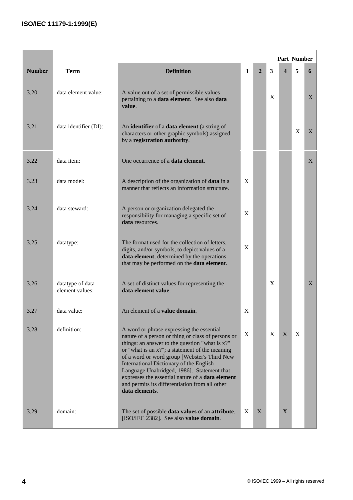|               |                                     |                                                                                                                                                                                                                                                                                                                                                                                                                                                                      |   |                |   | Part Number             |              |   |
|---------------|-------------------------------------|----------------------------------------------------------------------------------------------------------------------------------------------------------------------------------------------------------------------------------------------------------------------------------------------------------------------------------------------------------------------------------------------------------------------------------------------------------------------|---|----------------|---|-------------------------|--------------|---|
| <b>Number</b> | <b>Term</b>                         | <b>Definition</b>                                                                                                                                                                                                                                                                                                                                                                                                                                                    | 1 | $\overline{2}$ | 3 | $\overline{\mathbf{4}}$ | 5            | 6 |
| 3.20          | data element value:                 | A value out of a set of permissible values<br>pertaining to a data element. See also data<br>value.                                                                                                                                                                                                                                                                                                                                                                  |   |                | X |                         |              | X |
| 3.21          | data identifier (DI):               | An identifier of a data element (a string of<br>characters or other graphic symbols) assigned<br>by a registration authority.                                                                                                                                                                                                                                                                                                                                        |   |                |   |                         | X            | X |
| 3.22          | data item:                          | One occurrence of a <b>data element</b> .                                                                                                                                                                                                                                                                                                                                                                                                                            |   |                |   |                         |              | X |
| 3.23          | data model:                         | A description of the organization of <b>data</b> in a<br>manner that reflects an information structure.                                                                                                                                                                                                                                                                                                                                                              | X |                |   |                         |              |   |
| 3.24          | data steward:                       | A person or organization delegated the<br>responsibility for managing a specific set of<br>data resources.                                                                                                                                                                                                                                                                                                                                                           | X |                |   |                         |              |   |
| 3.25          | datatype:                           | The format used for the collection of letters,<br>digits, and/or symbols, to depict values of a<br>data element, determined by the operations<br>that may be performed on the data element.                                                                                                                                                                                                                                                                          | X |                |   |                         |              |   |
| 3.26          | datatype of data<br>element values: | A set of distinct values for representing the<br>data element value.                                                                                                                                                                                                                                                                                                                                                                                                 |   |                | X |                         |              | X |
| 3.27          | data value:                         | An element of a value domain.                                                                                                                                                                                                                                                                                                                                                                                                                                        | X |                |   |                         |              |   |
| 3.28          | definition:                         | A word or phrase expressing the essential<br>nature of a person or thing or class of persons or<br>things: an answer to the question "what is x?"<br>or "what is an x?"; a statement of the meaning<br>of a word or word group [Webster's Third New<br>International Dictionary of the English<br>Language Unabridged, 1986]. Statement that<br>expresses the essential nature of a data element<br>and permits its differentiation from all other<br>data elements. | X |                | X | X                       | $\mathbf{X}$ |   |
| 3.29          | domain:                             | The set of possible <b>data values</b> of an <b>attribute</b> .<br>[ISO/IEC 2382]. See also value domain.                                                                                                                                                                                                                                                                                                                                                            | X | X              |   | X                       |              |   |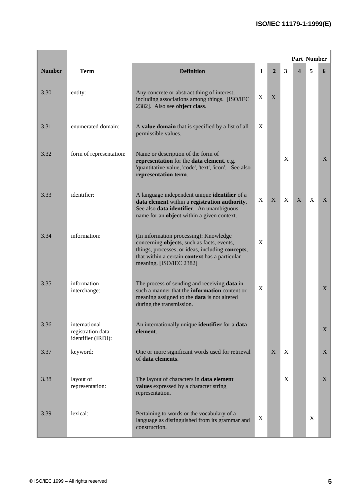|               |                                                          |                                                                                                                                                                                                                       |   |                |   | Part Number |   |   |
|---------------|----------------------------------------------------------|-----------------------------------------------------------------------------------------------------------------------------------------------------------------------------------------------------------------------|---|----------------|---|-------------|---|---|
| <b>Number</b> | <b>Term</b>                                              | <b>Definition</b>                                                                                                                                                                                                     | 1 | $\overline{2}$ | 3 | 4           | 5 | 6 |
| 3.30          | entity:                                                  | Any concrete or abstract thing of interest,<br>including associations among things. [ISO/IEC<br>2382]. Also see object class.                                                                                         | X | X              |   |             |   |   |
| 3.31          | enumerated domain:                                       | A value domain that is specified by a list of all<br>permissible values.                                                                                                                                              | X |                |   |             |   |   |
| 3.32          | form of representation:                                  | Name or description of the form of<br>representation for the data element. e.g.<br>'quantitative value, 'code', 'text', 'icon'. See also<br>representation term.                                                      |   |                | X |             |   | X |
| 3.33          | identifier:                                              | A language independent unique <b>identifier</b> of a<br>data element within a registration authority.<br>See also data identifier. An unambiguous<br>name for an object within a given context.                       | X | X              | X | X           | X | X |
| 3.34          | information:                                             | (In information processing): Knowledge<br>concerning objects, such as facts, events,<br>things, processes, or ideas, including concepts,<br>that within a certain context has a particular<br>meaning. [ISO/IEC 2382] | X |                |   |             |   |   |
| 3.35          | information<br>interchange:                              | The process of sending and receiving data in<br>such a manner that the <b>information</b> content or<br>meaning assigned to the data is not altered<br>during the transmission.                                       | X |                |   |             |   | X |
| 3.36          | international<br>registration data<br>identifier (IRDI): | An internationally unique identifier for a data<br>element.                                                                                                                                                           |   |                |   |             |   | X |
| 3.37          | keyword:                                                 | One or more significant words used for retrieval<br>of data elements.                                                                                                                                                 |   | X              | X |             |   | X |
| 3.38          | layout of<br>representation:                             | The layout of characters in data element<br>values expressed by a character string<br>representation.                                                                                                                 |   |                | X |             |   | X |
| 3.39          | lexical:                                                 | Pertaining to words or the vocabulary of a<br>language as distinguished from its grammar and<br>construction.                                                                                                         | X |                |   |             | X |   |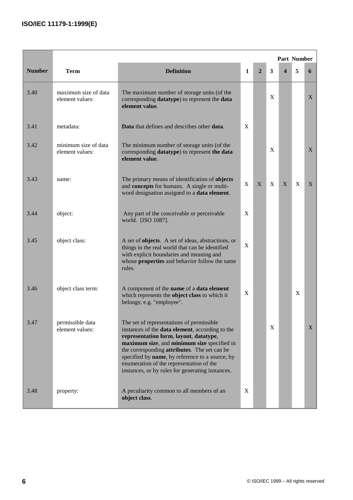|               |                                         |                                                                                                                                                                                                                                                                                                                                                                                                  |   |                |   | Part Number      |   |              |
|---------------|-----------------------------------------|--------------------------------------------------------------------------------------------------------------------------------------------------------------------------------------------------------------------------------------------------------------------------------------------------------------------------------------------------------------------------------------------------|---|----------------|---|------------------|---|--------------|
| <b>Number</b> | <b>Term</b>                             | <b>Definition</b>                                                                                                                                                                                                                                                                                                                                                                                | 1 | $\overline{2}$ | 3 | $\boldsymbol{4}$ | 5 | 6            |
| 3.40          | maximum size of data<br>element values: | The maximum number of storage units (of the<br>corresponding datatype) to represent the data<br>element value.                                                                                                                                                                                                                                                                                   |   |                | X |                  |   | X            |
| 3.41          | metadata:                               | Data that defines and describes other data.                                                                                                                                                                                                                                                                                                                                                      | X |                |   |                  |   |              |
| 3.42          | minimum size of data<br>element values: | The minimum number of storage units (of the<br>corresponding datatype) to represent the data<br>element value.                                                                                                                                                                                                                                                                                   |   |                | X |                  |   | X            |
| 3.43          | name:                                   | The primary means of identification of objects<br>and concepts for humans. A single or multi-<br>word designation assigned to a <b>data element</b> .                                                                                                                                                                                                                                            | X | X              | X | X                | X | $\mathbf{X}$ |
| 3.44          | object:                                 | Any part of the conceivable or perceivable<br>world. [ISO 1087].                                                                                                                                                                                                                                                                                                                                 | X |                |   |                  |   |              |
| 3.45          | object class:                           | A set of objects. A set of ideas, abstractions, or<br>things in the real world that can be identified<br>with explicit boundaries and meaning and<br>whose <b>properties</b> and behavior follow the same<br>rules.                                                                                                                                                                              | X |                |   |                  |   |              |
| 3.46          | object class term:                      | A component of the name of a data element<br>which represents the object class to which it<br>belongs; e.g. "employee".                                                                                                                                                                                                                                                                          | X |                |   |                  | X |              |
| 3.47          | permissible data<br>element values:     | The set of representations of permissible<br>instances of the data element, according to the<br>representation form, layout, datatype,<br>maximum size, and minimum size specified in<br>the corresponding <b>attributes</b> . The set can be<br>specified by name, by reference to a source, by<br>enumeration of the representation of the<br>instances, or by rules for generating instances. |   |                | X |                  |   | X            |
| 3.48          | property:                               | A peculiarity common to all members of an<br>object class.                                                                                                                                                                                                                                                                                                                                       | X |                |   |                  |   |              |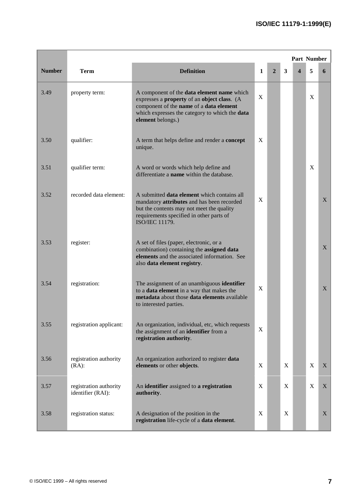|               |                                             |                                                                                                                                                                                                                            |   |              |   | <b>Part Number</b> |             |   |
|---------------|---------------------------------------------|----------------------------------------------------------------------------------------------------------------------------------------------------------------------------------------------------------------------------|---|--------------|---|--------------------|-------------|---|
| <b>Number</b> | <b>Term</b>                                 | <b>Definition</b>                                                                                                                                                                                                          | 1 | $\mathbf{2}$ | 3 | $\boldsymbol{4}$   | 5           | 6 |
| 3.49          | property term:                              | A component of the data element name which<br>expresses a <b>property</b> of an <b>object class</b> . (A<br>component of the name of a data element<br>which expresses the category to which the data<br>element belongs.) | X |              |   |                    | X           |   |
| 3.50          | qualifier:                                  | A term that helps define and render a <b>concept</b><br>unique.                                                                                                                                                            | X |              |   |                    |             |   |
| 3.51          | qualifier term:                             | A word or words which help define and<br>differentiate a name within the database.                                                                                                                                         |   |              |   |                    | X           |   |
| 3.52          | recorded data element:                      | A submitted <b>data element</b> which contains all<br>mandatory attributes and has been recorded<br>but the contents may not meet the quality<br>requirements specified in other parts of<br><b>ISO/IEC 11179.</b>         | X |              |   |                    |             | X |
| 3.53          | register:                                   | A set of files (paper, electronic, or a<br>combination) containing the assigned data<br>elements and the associated information. See<br>also data element registry.                                                        |   |              |   |                    |             | X |
| 3.54          | registration:                               | The assignment of an unambiguous identifier<br>to a data element in a way that makes the<br>metadata about those data elements available<br>to interested parties.                                                         | X |              |   |                    |             | X |
| 3.55          | registration applicant:                     | An organization, individual, etc, which requests<br>the assignment of an identifier from a<br>registration authority.                                                                                                      | X |              |   |                    |             |   |
| 3.56          | registration authority<br>$(RA)$ :          | An organization authorized to register data<br>elements or other objects.                                                                                                                                                  | X |              | X |                    | $\mathbf X$ | X |
| 3.57          | registration authority<br>identifier (RAI): | An identifier assigned to a registration<br>authority.                                                                                                                                                                     | X |              | X |                    | X           | X |
| 3.58          | registration status:                        | A designation of the position in the<br>registration life-cycle of a data element.                                                                                                                                         | X |              | X |                    |             | X |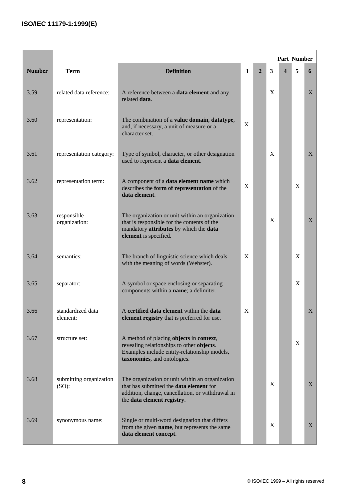|               |                                     |                                                                                                                                                                              |   |                |   | Part Number |   |   |
|---------------|-------------------------------------|------------------------------------------------------------------------------------------------------------------------------------------------------------------------------|---|----------------|---|-------------|---|---|
| <b>Number</b> | <b>Term</b>                         | <b>Definition</b>                                                                                                                                                            | 1 | $\overline{2}$ | 3 | 4           | 5 | 6 |
| 3.59          | related data reference:             | A reference between a <b>data element</b> and any<br>related <b>data</b> .                                                                                                   |   |                | X |             |   | X |
| 3.60          | representation:                     | The combination of a value domain, datatype,<br>and, if necessary, a unit of measure or a<br>character set.                                                                  | X |                |   |             |   |   |
| 3.61          | representation category:            | Type of symbol, character, or other designation<br>used to represent a data element.                                                                                         |   |                | X |             |   | X |
| 3.62          | representation term:                | A component of a data element name which<br>describes the form of representation of the<br>data element.                                                                     | X |                |   |             | X |   |
| 3.63          | responsible<br>organization:        | The organization or unit within an organization<br>that is responsible for the contents of the<br>mandatory attributes by which the data<br>element is specified.            |   |                | X |             |   | X |
| 3.64          | semantics:                          | The branch of linguistic science which deals<br>with the meaning of words (Webster).                                                                                         | X |                |   |             | X |   |
| 3.65          | separator:                          | A symbol or space enclosing or separating<br>components within a name; a delimiter.                                                                                          |   |                |   |             | X |   |
| 3.66          | standardized data<br>element:       | A certified data element within the data<br>element registry that is preferred for use.                                                                                      | X |                |   |             |   | X |
| 3.67          | structure set:                      | A method of placing objects in context,<br>revealing relationships to other objects.<br>Examples include entity-relationship models,<br>taxonomies, and ontologies.          |   |                |   |             | X |   |
| 3.68          | submitting organization<br>$(SO)$ : | The organization or unit within an organization<br>that has submitted the data element for<br>addition, change, cancellation, or withdrawal in<br>the data element registry. |   |                | X |             |   | X |
| 3.69          | synonymous name:                    | Single or multi-word designation that differs<br>from the given name, but represents the same<br>data element concept.                                                       |   |                | X |             |   | X |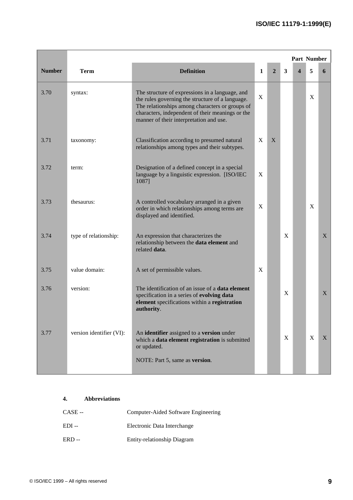|               |                          |                                                                                                                                                                                                                                                       |   |                |   | <b>Part Number</b>      |   |              |
|---------------|--------------------------|-------------------------------------------------------------------------------------------------------------------------------------------------------------------------------------------------------------------------------------------------------|---|----------------|---|-------------------------|---|--------------|
| <b>Number</b> | <b>Term</b>              | <b>Definition</b>                                                                                                                                                                                                                                     | 1 | $\overline{2}$ | 3 | $\overline{\mathbf{4}}$ | 5 | 6            |
| 3.70          | syntax:                  | The structure of expressions in a language, and<br>the rules governing the structure of a language.<br>The relationships among characters or groups of<br>characters, independent of their meanings or the<br>manner of their interpretation and use. | X |                |   |                         | X |              |
| 3.71          | taxonomy:                | Classification according to presumed natural<br>relationships among types and their subtypes.                                                                                                                                                         | X | X              |   |                         |   |              |
| 3.72          | term:                    | Designation of a defined concept in a special<br>language by a linguistic expression. [ISO/IEC<br>1087]                                                                                                                                               | X |                |   |                         |   |              |
| 3.73          | thesaurus:               | A controlled vocabulary arranged in a given<br>order in which relationships among terms are<br>displayed and identified.                                                                                                                              | X |                |   |                         | X |              |
| 3.74          | type of relationship:    | An expression that characterizes the<br>relationship between the data element and<br>related data.                                                                                                                                                    |   |                | X |                         |   | X            |
| 3.75          | value domain:            | A set of permissible values.                                                                                                                                                                                                                          | X |                |   |                         |   |              |
| 3.76          | version:                 | The identification of an issue of a <b>data element</b><br>specification in a series of evolving data<br>element specifications within a registration<br>authority.                                                                                   |   |                | X |                         |   | X            |
| 3.77          | version identifier (VI): | An identifier assigned to a version under<br>which a data element registration is submitted<br>or updated.<br>NOTE: Part 5, same as version.                                                                                                          |   |                | X |                         | X | $\mathbf{X}$ |
|               |                          |                                                                                                                                                                                                                                                       |   |                |   |                         |   |              |

### **4. Abbreviations**

| $CASE -$ | Computer-Aided Software Engineering |
|----------|-------------------------------------|
| $EDI -$  | Electronic Data Interchange         |
| $ERD -$  | Entity-relationship Diagram         |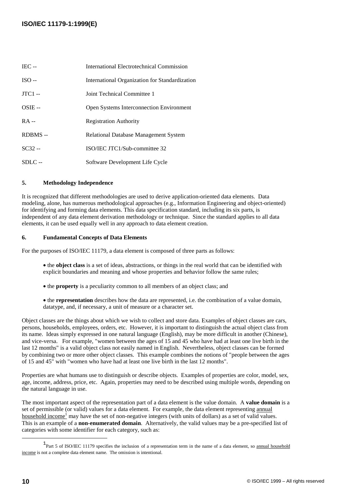| $IEC -$   | International Electrotechnical Commission       |
|-----------|-------------------------------------------------|
| $ISO -$   | International Organization for Standardization  |
| $JTC1 -$  | Joint Technical Committee 1                     |
| $OSIE --$ | <b>Open Systems Interconnection Environment</b> |
| $RA -$    | <b>Registration Authority</b>                   |
| RDBMS-    | Relational Database Management System           |
| $SC32 -$  | ISO/IEC JTC1/Sub-committee 32                   |
| $SDLC -$  | Software Development Life Cycle                 |

#### **5. Methodology Independence**

It is recognized that different methodologies are used to derive application-oriented data elements. Data modeling, alone, has numerous methodological approaches (e.g., Information Engineering and object-oriented) for identifying and forming data elements. This data specification standard, including its six parts, is independent of any data element derivation methodology or technique. Since the standard applies to all data elements, it can be used equally well in any approach to data element creation.

#### **6. Fundamental Concepts of Data Elements**

For the purposes of ISO/IEC 11179, a data element is composed of three parts as follows:

- the **object class** is a set of ideas, abstractions, or things in the real world that can be identified with explicit boundaries and meaning and whose properties and behavior follow the same rules;
- the **property** is a peculiarity common to all members of an object class; and
- the **representation** describes how the data are represented, i.e. the combination of a value domain, datatype, and, if necessary, a unit of measure or a character set.

Object classes are the things about which we wish to collect and store data. Examples of object classes are cars, persons, households, employees, orders, etc. However, it is important to distinguish the actual object class from its name. Ideas simply expressed in one natural language (English), may be more difficult in another (Chinese), and vice-versa. For example, "women between the ages of 15 and 45 who have had at least one live birth in the last 12 months" is a valid object class not easily named in English. Nevertheless, object classes can be formed by combining two or more other object classes. This example combines the notions of "people between the ages of 15 and 45" with "women who have had at least one live birth in the last 12 months".

Properties are what humans use to distinguish or describe objects. Examples of properties are color, model, sex, age, income, address, price, etc. Again, properties may need to be described using multiple words, depending on the natural language in use.

The most important aspect of the representation part of a data element is the value domain. A **value domain** is a set of permissible (or valid) values for a data element. For example, the data element representing annual household income<sup>1</sup> may have the set of non-negative integers (with units of dollars) as a set of valid values. This is an example of a **non-enumerated domain**. Alternatively, the valid values may be a pre-specified list of categories with some identifier for each category, such as:

<sup>&</sup>lt;sup>1</sup>Part 5 of ISO/IEC 11179 specifies the inclusion of a representation term in the name of a data element, so annual household income is not a complete data element name. The omission is intentional.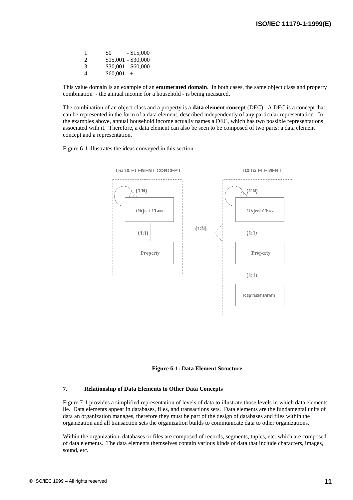| 1                           | \$0           | $-$ \$15,000        |
|-----------------------------|---------------|---------------------|
| $\mathcal{D}_{\mathcal{L}}$ |               | $$15,001 - $30,000$ |
| 3                           |               | $$30,001 - $60,000$ |
| 4                           | $$60,001 - +$ |                     |

This value domain is an example of an **enumerated domain**. In both cases, the same object class and property combination - the annual income for a household - is being measured.

The combination of an object class and a property is a **data element concept** (DEC). A DEC is a concept that can be represented in the form of a data element, described independently of any particular representation. In the examples above, annual household income actually names a DEC, which has two possible representations associated with it. Therefore, a data element can also be seen to be composed of two parts: a data element concept and a representation.

Figure 6-1 illustrates the ideas conveyed in this section.





#### **7. Relationship of Data Elements to Other Data Concepts**

Figure 7-1 provides a simplified representation of levels of data to illustrate those levels in which data elements lie. Data elements appear in databases, files, and transactions sets. Data elements are the fundamental units of data an organization manages, therefore they must be part of the design of databases and files within the organization and all transaction sets the organization builds to communicate data to other organizations.

Within the organization, databases or files are composed of records, segments, tuples, etc. which are composed of data elements. The data elements themselves contain various kinds of data that include characters, images, sound, etc.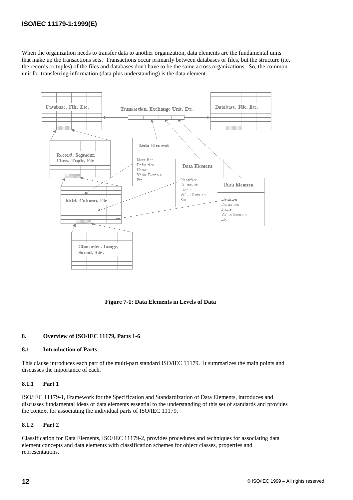When the organization needs to transfer data to another organization, data elements are the fundamental units that make up the transactions sets. Transactions occur primarily between databases or files, but the structure (i.e. the records or tuples) of the files and databases don't have to be the same across organizations. So, the common unit for transferring information (data plus understanding) is the data element.



**Figure 7-1: Data Elements in Levels of Data**

#### **8. Overview of ISO/IEC 11179, Parts 1-6**

#### **8.1. Introduction of Parts**

This clause introduces each part of the multi-part standard ISO/IEC 11179. It summarizes the main points and discusses the importance of each.

#### **8.1.1 Part 1**

ISO/IEC 11179-1, Framework for the Specification and Standardization of Data Elements, introduces and discusses fundamental ideas of data elements essential to the understanding of this set of standards and provides the context for associating the individual parts of ISO/IEC 11179.

#### **8.1.2 Part 2**

Classification for Data Elements, ISO/IEC 11179-2, provides procedures and techniques for associating data element concepts and data elements with classification schemes for object classes, properties and representations.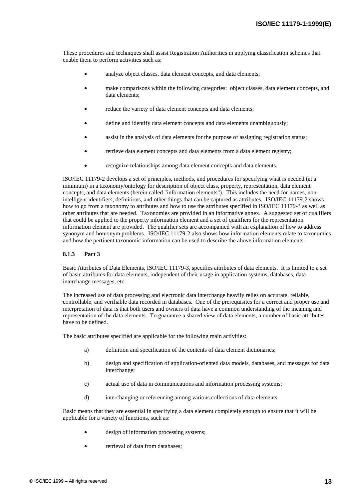These procedures and techniques shall assist Registration Authorities in applying classification schemes that enable them to perform activities such as:

- analyze object classes, data element concepts, and data elements;
- make comparisons within the following categories: object classes, data element concepts, and data elements;
- reduce the variety of data element concepts and data elements;
- define and identify data element concepts and data elements unambiguously;
- assist in the analysis of data elements for the purpose of assigning registration status;
- retrieve data element concepts and data elements from a data element registry;
- recognize relationships among data element concepts and data elements.

ISO/IEC 11179-2 develops a set of principles, methods, and procedures for specifying what is needed (at a minimum) in a taxonomy/ontology for description of object class, property, representation, data element concepts, and data elements (herein called "information elements"). This includes the need for names, nonintelligent identifiers, definitions, and other things that can be captured as attributes. ISO/IEC 11179-2 shows how to go from a taxonomy to attributes and how to use the attributes specified in ISO/IEC 11179-3 as well as other attributes that are needed. Taxonomies are provided in an informative annex. A suggested set of qualifiers that could be applied to the property information element and a set of qualifiers for the representation information element are provided. The qualifier sets are accompanied with an explanation of how to address synonym and homonym problems. ISO/IEC 11179-2 also shows how information elements relate to taxonomies and how the pertinent taxonomic information can be used to describe the above information elements.

#### **8.1.3 Part 3**

Basic Attributes of Data Elements, ISO/IEC 11179-3, specifies attributes of data elements. It is limited to a set of basic attributes for data elements, independent of their usage in application systems, databases, data interchange messages, etc.

The increased use of data processing and electronic data interchange heavily relies on accurate, reliable, controllable, and verifiable data recorded in databases. One of the prerequisites for a correct and proper use and interpretation of data is that both users and owners of data have a common understanding of the meaning and representation of the data elements. To guarantee a shared view of data elements, a number of basic attributes have to be defined.

The basic attributes specified are applicable for the following main activities:

- a) definition and specification of the contents of data element dictionaries;
- b) design and specification of application-oriented data models, databases, and messages for data interchange;
- c) actual use of data in communications and information processing systems;
- d) interchanging or referencing among various collections of data elements.

Basic means that they are essential in specifying a data element completely enough to ensure that it will be applicable for a variety of functions, such as:

- design of information processing systems;
- retrieval of data from databases;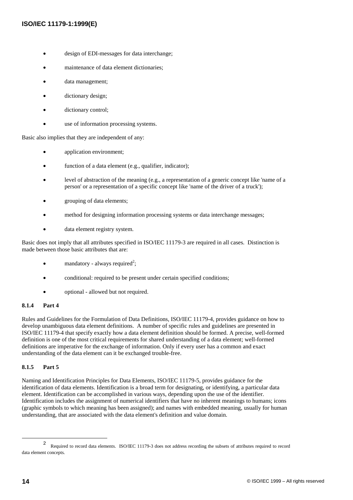- design of EDI-messages for data interchange;
- maintenance of data element dictionaries;
- data management;
- dictionary design;
- dictionary control;
- use of information processing systems.

Basic also implies that they are independent of any:

- application environment;
- function of a data element (e.g., qualifier, indicator);
- level of abstraction of the meaning (e.g., a representation of a generic concept like 'name of a person' or a representation of a specific concept like 'name of the driver of a truck');
- grouping of data elements;
- method for designing information processing systems or data interchange messages;
- data element registry system.

Basic does not imply that all attributes specified in ISO/IEC 11179-3 are required in all cases. Distinction is made between those basic attributes that are:

- $\bullet$  mandatory always required<sup>2</sup>;
- conditional: required to be present under certain specified conditions;
- optional allowed but not required.

#### **8.1.4 Part 4**

Rules and Guidelines for the Formulation of Data Definitions, ISO/IEC 11179-4, provides guidance on how to develop unambiguous data element definitions. A number of specific rules and guidelines are presented in ISO/IEC 11179-4 that specify exactly how a data element definition should be formed. A precise, well-formed definition is one of the most critical requirements for shared understanding of a data element; well-formed definitions are imperative for the exchange of information. Only if every user has a common and exact understanding of the data element can it be exchanged trouble-free.

#### **8.1.5 Part 5**

Naming and Identification Principles for Data Elements, ISO/IEC 11179-5, provides guidance for the identification of data elements. Identification is a broad term for designating, or identifying, a particular data element. Identification can be accomplished in various ways, depending upon the use of the identifier. Identification includes the assignment of numerical identifiers that have no inherent meanings to humans; icons (graphic symbols to which meaning has been assigned); and names with embedded meaning, usually for human understanding, that are associated with the data element's definition and value domain.

<sup>&</sup>lt;sup>2</sup> Required to record data elements. ISO/IEC 11179-3 does not address recording the subsets of attributes required to record data element concepts.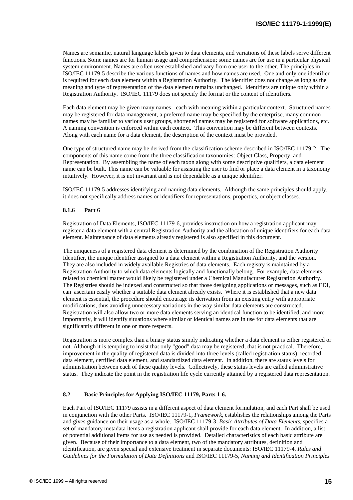Names are semantic, natural language labels given to data elements, and variations of these labels serve different functions. Some names are for human usage and comprehension; some names are for use in a particular physical system environment. Names are often user established and vary from one user to the other. The principles in ISO/IEC 11179-5 describe the various functions of names and how names are used. One and only one identifier is required for each data element within a Registration Authority. The identifier does not change as long as the meaning and type of representation of the data element remains unchanged. Identifiers are unique only within a Registration Authority. ISO/IEC 11179 does not specify the format or the content of identifiers.

Each data element may be given many names - each with meaning within a particular context. Structured names may be registered for data management, a preferred name may be specified by the enterprise, many common names may be familiar to various user groups, shortened names may be registered for software applications, etc. A naming convention is enforced within each context. This convention may be different between contexts. Along with each name for a data element, the description of the context must be provided.

One type of structured name may be derived from the classification scheme described in ISO/IEC 11179-2. The components of this name come from the three classification taxonomies: Object Class, Property, and Representation. By assembling the name of each taxon along with some descriptive qualifiers, a data element name can be built. This name can be valuable for assisting the user to find or place a data element in a taxonomy intuitively. However, it is not invariant and is not dependable as a unique identifier.

ISO/IEC 11179-5 addresses identifying and naming data elements. Although the same principles should apply, it does not specifically address names or identifiers for representations, properties, or object classes.

#### **8.1.6 Part 6**

Registration of Data Elements, ISO/IEC 11179-6, provides instruction on how a registration applicant may register a data element with a central Registration Authority and the allocation of unique identifiers for each data element. Maintenance of data elements already registered is also specified in this document.

The uniqueness of a registered data element is determined by the combination of the Registration Authority Identifier, the unique identifier assigned to a data element within a Registration Authority, and the version. They are also included in widely available Registries of data elements. Each registry is maintained by a Registration Authority to which data elements logically and functionally belong. For example, data elements related to chemical matter would likely be registered under a Chemical Manufacturer Registration Authority. The Registries should be indexed and constructed so that those designing applications or messages, such as EDI, can ascertain easily whether a suitable data element already exists. Where it is established that a new data element is essential, the procedure should encourage its derivation from an existing entry with appropriate modifications, thus avoiding unnecessary variations in the way similar data elements are constructed. Registration will also allow two or more data elements serving an identical function to be identified, and more importantly, it will identify situations where similar or identical names are in use for data elements that are significantly different in one or more respects.

Registration is more complex than a binary status simply indicating whether a data element is either registered or not. Although it is tempting to insist that only "good" data may be registered, that is not practical. Therefore, improvement in the quality of registered data is divided into three levels (called registration status): recorded data element, certified data element, and standardized data element. In addition, there are status levels for administration between each of these quality levels. Collectively, these status levels are called administrative status. They indicate the point in the registration life cycle currently attained by a registered data representation.

#### **8.2 Basic Principles for Applying ISO/IEC 11179, Parts 1-6.**

Each Part of ISO/IEC 11179 assists in a different aspect of data element formulation, and each Part shall be used in conjunction with the other Parts. ISO/IEC 11179-1, *Framework*, establishes the relationships among the Parts and gives guidance on their usage as a whole. ISO/IEC 11179-3, *Basic Attributes of Data Elements*, specifies a set of mandatory metadata items a registration applicant shall provide for each data element. In addition, a list of potential additional items for use as needed is provided. Detailed characteristics of each basic attribute are given. Because of their importance to a data element, two of the mandatory attributes, definition and identification, are given special and extensive treatment in separate documents: ISO/IEC 11179-4, *Rules and Guidelines for the Formulation of Data Definitions* and ISO/IEC 11179-5, *Naming and Identification Principles*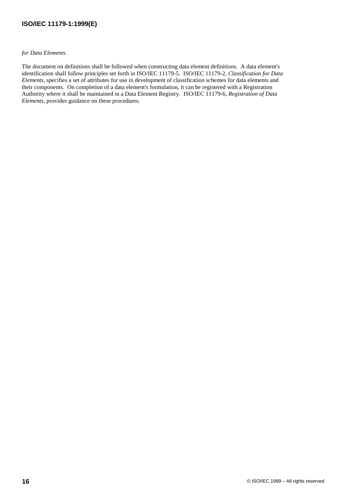*for Data Elements*.

The document on definitions shall be followed when constructing data element definitions. A data element's identification shall follow principles set forth in ISO/IEC 11179-5. ISO/IEC 11179-2, *Classification for Data Elements*, specifies a set of attributes for use in development of classification schemes for data elements and their components. On completion of a data element's formulation, it can be registered with a Registration Authority where it shall be maintained in a Data Element Registry. ISO/IEC 11179-6, *Registration of Data Elements*, provides guidance on these procedures.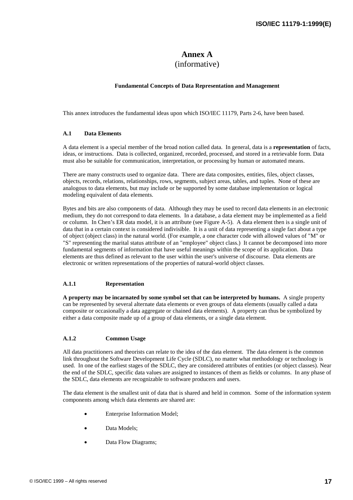### **Annex A** (informative)

#### **Fundamental Concepts of Data Representation and Management**

This annex introduces the fundamental ideas upon which ISO/IEC 11179, Parts 2-6, have been based.

#### **A.1 Data Elements**

A data element is a special member of the broad notion called data. In general, data is a **representation** of facts, ideas, or instructions. Data is collected, organized, recorded, processed, and stored in a retrievable form. Data must also be suitable for communication, interpretation, or processing by human or automated means.

There are many constructs used to organize data. There are data composites, entities, files, object classes, objects, records, relations, relationships, rows, segments, subject areas, tables, and tuples. None of these are analogous to data elements, but may include or be supported by some database implementation or logical modeling equivalent of data elements.

Bytes and bits are also components of data. Although they may be used to record data elements in an electronic medium, they do not correspond to data elements. In a database, a data element may be implemented as a field or column. In Chen's ER data model, it is an attribute (see Figure A-5). A data element then is a single unit of data that in a certain context is considered indivisible. It is a unit of data representing a single fact about a type of object (object class) in the natural world. (For example, a one character code with allowed values of "M" or "S" representing the marital status attribute of an "employee" object class.) It cannot be decomposed into more fundamental segments of information that have useful meanings within the scope of its application. Data elements are thus defined as relevant to the user within the user's universe of discourse. Data elements are electronic or written representations of the properties of natural-world object classes.

#### **A.1.1 Representation**

**A property may be incarnated by some symbol set that can be interpreted by humans.** A single property can be represented by several alternate data elements or even groups of data elements (usually called a data composite or occasionally a data aggregate or chained data elements). A property can thus be symbolized by either a data composite made up of a group of data elements, or a single data element.

#### **A.1.2 Common Usage**

All data practitioners and theorists can relate to the idea of the data element. The data element is the common link throughout the Software Development Life Cycle (SDLC), no matter what methodology or technology is used. In one of the earliest stages of the SDLC, they are considered attributes of entities (or object classes). Near the end of the SDLC, specific data values are assigned to instances of them as fields or columns. In any phase of the SDLC, data elements are recognizable to software producers and users.

The data element is the smallest unit of data that is shared and held in common. Some of the information system components among which data elements are shared are:

- Enterprise Information Model;
- Data Models;
- Data Flow Diagrams;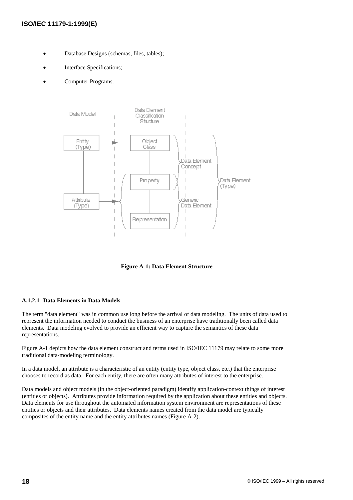- Database Designs (schemas, files, tables);
- Interface Specifications;
- Computer Programs.



**Figure A-1: Data Element Structure**

#### **A.1.2.1 Data Elements in Data Models**

The term "data element" was in common use long before the arrival of data modeling. The units of data used to represent the information needed to conduct the business of an enterprise have traditionally been called data elements. Data modeling evolved to provide an efficient way to capture the semantics of these data representations.

Figure A-1 depicts how the data element construct and terms used in ISO/IEC 11179 may relate to some more traditional data-modeling terminology.

In a data model, an attribute is a characteristic of an entity (entity type, object class, etc.) that the enterprise chooses to record as data. For each entity, there are often many attributes of interest to the enterprise.

Data models and object models (in the object-oriented paradigm) identify application-context things of interest (entities or objects). Attributes provide information required by the application about these entities and objects. Data elements for use throughout the automated information system environment are representations of these entities or objects and their attributes. Data elements names created from the data model are typically composites of the entity name and the entity attributes names (Figure A-2).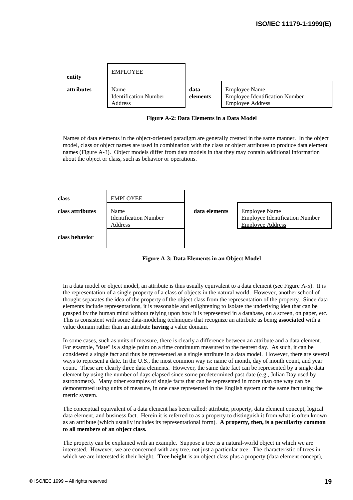| entity            | <b>EMPLOYEE</b>                                 |                  |                                                                                          |
|-------------------|-------------------------------------------------|------------------|------------------------------------------------------------------------------------------|
| <b>attributes</b> | Name<br><b>Identification Number</b><br>Address | data<br>elements | <b>Employee Name</b><br><b>Employee Identification Number</b><br><b>Employee Address</b> |

#### **Figure A-2: Data Elements in a Data Model**

Names of data elements in the object-oriented paradigm are generally created in the same manner. In the object model, class or object names are used in combination with the class or object attributes to produce data element names (Figure A-3). Object models differ from data models in that they may contain additional information about the object or class, such as behavior or operations.

| class            | <b>EMPLOYEE</b>                                 |               |                                                                                          |
|------------------|-------------------------------------------------|---------------|------------------------------------------------------------------------------------------|
| class attributes | Name<br><b>Identification Number</b><br>Address | data elements | <b>Employee Name</b><br><b>Employee Identification Number</b><br><b>Employee Address</b> |
| class behavior   |                                                 |               |                                                                                          |



In a data model or object model, an attribute is thus usually equivalent to a data element (see Figure A-5). It is the representation of a single property of a class of objects in the natural world. However, another school of thought separates the idea of the property of the object class from the representation of the property. Since data elements include representations, it is reasonable and enlightening to isolate the underlying idea that can be grasped by the human mind without relying upon how it is represented in a database, on a screen, on paper, etc. This is consistent with some data-modeling techniques that recognize an attribute as being **associated** with a value domain rather than an attribute **having** a value domain.

In some cases, such as units of measure, there is clearly a difference between an attribute and a data element. For example, "date" is a single point on a time continuum measured to the nearest day. As such, it can be considered a single fact and thus be represented as a single attribute in a data model. However, there are several ways to represent a date. In the U.S., the most common way is: name of month, day of month count, and year count. These are clearly three data elements. However, the same date fact can be represented by a single data element by using the number of days elapsed since some predetermined past date (e.g., Julian Day used by astronomers). Many other examples of single facts that can be represented in more than one way can be demonstrated using units of measure, in one case represented in the English system or the same fact using the metric system.

The conceptual equivalent of a data element has been called: attribute, property, data element concept, logical data element, and business fact. Herein it is referred to as a property to distinguish it from what is often known as an attribute (which usually includes its representational form). **A property, then, is a peculiarity common to all members of an object class.**

The property can be explained with an example. Suppose a tree is a natural-world object in which we are interested. However, we are concerned with any tree, not just a particular tree. The characteristic of trees in which we are interested is their height. **Tree height** is an object class plus a property (data element concept),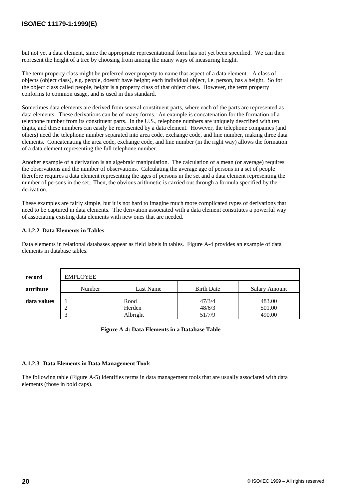but not yet a data element, since the appropriate representational form has not yet been specified. We can then represent the height of a tree by choosing from among the many ways of measuring height.

The term property class might be preferred over property to name that aspect of a data element. A class of objects (object class), e.g. people, doesn't have height; each individual object, i.e. person, has a height. So for the object class called people, height is a property class of that object class. However, the term property conforms to common usage, and is used in this standard.

Sometimes data elements are derived from several constituent parts, where each of the parts are represented as data elements. These derivations can be of many forms. An example is concatenation for the formation of a telephone number from its constituent parts. In the U.S., telephone numbers are uniquely described with ten digits, and these numbers can easily be represented by a data element. However, the telephone companies (and others) need the telephone number separated into area code, exchange code, and line number, making three data elements. Concatenating the area code, exchange code, and line number (in the right way) allows the formation of a data element representing the full telephone number.

Another example of a derivation is an algebraic manipulation. The calculation of a mean (or average) requires the observations and the number of observations. Calculating the average age of persons in a set of people therefore requires a data element representing the ages of persons in the set and a data element representing the number of persons in the set. Then, the obvious arithmetic is carried out through a formula specified by the derivation.

These examples are fairly simple, but it is not hard to imagine much more complicated types of derivations that need to be captured in data elements. The derivation associated with a data element constitutes a powerful way of associating existing data elements with new ones that are needed.

#### **A.1.2.2 Data Elements in Tables**

Data elements in relational databases appear as field labels in tables. Figure A-4 provides an example of data elements in database tables.

| record      | <b>EMPLOYEE</b> |                    |                   |                      |
|-------------|-----------------|--------------------|-------------------|----------------------|
| attribute   | Number          | Last Name          | <b>Birth Date</b> | <b>Salary Amount</b> |
| data values |                 | Rood               | 47/3/4            | 483.00               |
|             | ∠<br>⌒          | Herden<br>Albright | 48/6/3<br>51/7/9  | 501.00<br>490.00     |

#### **Figure A-4: Data Elements in a Database Table**

#### **A.1.2.3 Data Elements in Data Management Tool**s

The following table (Figure A-5) identifies terms in data management tools that are usually associated with data elements (those in bold caps).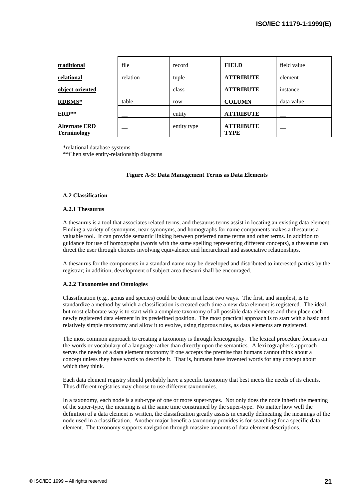| traditional                                | file     | record      | <b>FIELD</b>                    | field value |
|--------------------------------------------|----------|-------------|---------------------------------|-------------|
| relational                                 | relation | tuple       | <b>ATTRIBUTE</b>                | element     |
| object-oriented                            |          | class       | <b>ATTRIBUTE</b>                | instance    |
| <b>RDBMS*</b>                              | table    | row         | <b>COLUMN</b>                   | data value  |
| ERD**                                      |          | entity      | <b>ATTRIBUTE</b>                |             |
| <b>Alternate ERD</b><br><b>Terminology</b> |          | entity type | <b>ATTRIBUTE</b><br><b>TYPE</b> |             |

\*relational database systems

\*\*Chen style entity-relationship diagrams

#### **Figure A-5: Data Management Terms as Data Elements**

#### **A.2 Classification**

#### **A.2.1 Thesaurus**

A thesaurus is a tool that associates related terms, and thesaurus terms assist in locating an existing data element. Finding a variety of synonyms, near-synonyms, and homographs for name components makes a thesaurus a valuable tool. It can provide semantic linking between preferred name terms and other terms. In addition to guidance for use of homographs (words with the same spelling representing different concepts), a thesaurus can direct the user through choices involving equivalence and hierarchical and associative relationships.

A thesaurus for the components in a standard name may be developed and distributed to interested parties by the registrar; in addition, development of subject area thesauri shall be encouraged.

#### **A.2.2 Taxonomies and Ontologies**

Classification (e.g., genus and species) could be done in at least two ways. The first, and simplest, is to standardize a method by which a classification is created each time a new data element is registered. The ideal, but most elaborate way is to start with a complete taxonomy of all possible data elements and then place each newly registered data element in its predefined position. The most practical approach is to start with a basic and relatively simple taxonomy and allow it to evolve, using rigorous rules, as data elements are registered.

The most common approach to creating a taxonomy is through lexicography. The lexical procedure focuses on the words or vocabulary of a language rather than directly upon the semantics. A lexicographer's approach serves the needs of a data element taxonomy if one accepts the premise that humans cannot think about a concept unless they have words to describe it. That is, humans have invented words for any concept about which they think.

Each data element registry should probably have a specific taxonomy that best meets the needs of its clients. Thus different registries may choose to use different taxonomies.

In a taxonomy, each node is a sub-type of one or more super-types. Not only does the node inherit the meaning of the super-type, the meaning is at the same time constrained by the super-type. No matter how well the definition of a data element is written, the classification greatly assists in exactly delineating the meanings of the node used in a classification. Another major benefit a taxonomy provides is for searching for a specific data element. The taxonomy supports navigation through massive amounts of data element descriptions.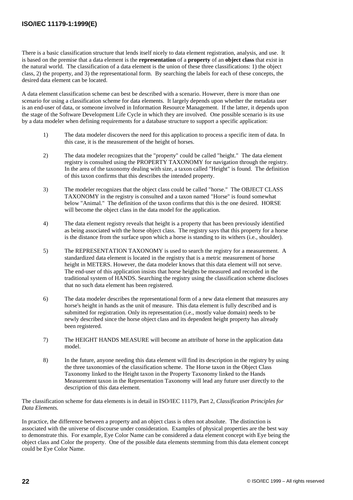There is a basic classification structure that lends itself nicely to data element registration, analysis, and use. It is based on the premise that a data element is the **representation** of a **property** of an **object class** that exist in the natural world. The classification of a data element is the union of these three classifications: 1) the object class, 2) the property, and 3) the representational form. By searching the labels for each of these concepts, the desired data element can be located.

A data element classification scheme can best be described with a scenario. However, there is more than one scenario for using a classification scheme for data elements. It largely depends upon whether the metadata user is an end-user of data, or someone involved in Information Resource Management. If the latter, it depends upon the stage of the Software Development Life Cycle in which they are involved. One possible scenario is its use by a data modeler when defining requirements for a database structure to support a specific application:

- 1) The data modeler discovers the need for this application to process a specific item of data. In this case, it is the measurement of the height of horses.
- 2) The data modeler recognizes that the "property" could be called "height." The data element registry is consulted using the PROPERTY TAXONOMY for navigation through the registry. In the area of the taxonomy dealing with size, a taxon called "Height" is found. The definition of this taxon confirms that this describes the intended property.
- 3) The modeler recognizes that the object class could be called "horse." The OBJECT CLASS TAXONOMY in the registry is consulted and a taxon named "Horse" is found somewhat below "Animal." The definition of the taxon confirms that this is the one desired. HORSE will become the object class in the data model for the application.
- 4) The data element registry reveals that height is a property that has been previously identified as being associated with the horse object class. The registry says that this property for a horse is the distance from the surface upon which a horse is standing to its withers (i.e., shoulder).
- 5) The REPRESENTATION TAXONOMY is used to search the registry for a measurement. A standardized data element is located in the registry that is a metric measurement of horse height in METERS. However, the data modeler knows that this data element will not serve. The end-user of this application insists that horse heights be measured and recorded in the traditional system of HANDS. Searching the registry using the classification scheme discloses that no such data element has been registered.
- 6) The data modeler describes the representational form of a new data element that measures any horse's height in hands as the unit of measure. This data element is fully described and is submitted for registration. Only its representation (i.e., mostly value domain) needs to be newly described since the horse object class and its dependent height property has already been registered.
- 7) The HEIGHT HANDS MEASURE will become an attribute of horse in the application data model.
- 8) In the future, anyone needing this data element will find its description in the registry by using the three taxonomies of the classification scheme. The Horse taxon in the Object Class Taxonomy linked to the Height taxon in the Property Taxonomy linked to the Hands Measurement taxon in the Representation Taxonomy will lead any future user directly to the description of this data element.

The classification scheme for data elements is in detail in ISO/IEC 11179, Part 2, *Classification Principles for Data Elements.*

In practice, the difference between a property and an object class is often not absolute. The distinction is associated with the universe of discourse under consideration. Examples of physical properties are the best way to demonstrate this. For example, Eye Color Name can be considered a data element concept with Eye being the object class and Color the property. One of the possible data elements stemming from this data element concept could be Eye Color Name.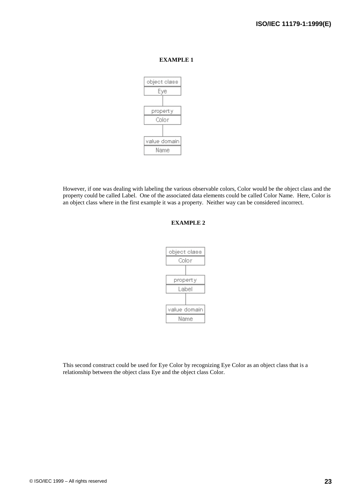

However, if one was dealing with labeling the various observable colors, Color would be the object class and the property could be called Label. One of the associated data elements could be called Color Name. Here, Color is an object class where in the first example it was a property. Neither way can be considered incorrect.

#### **EXAMPLE 2**



This second construct could be used for Eye Color by recognizing Eye Color as an object class that is a relationship between the object class Eye and the object class Color.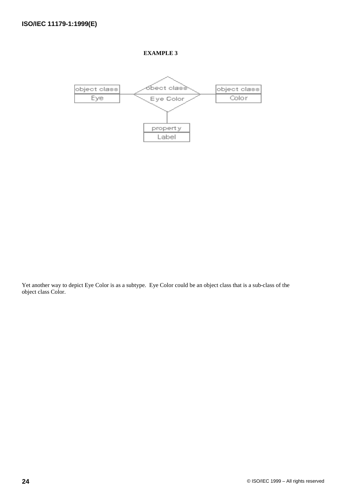

Yet another way to depict Eye Color is as a subtype. Eye Color could be an object class that is a sub-class of the object class Color.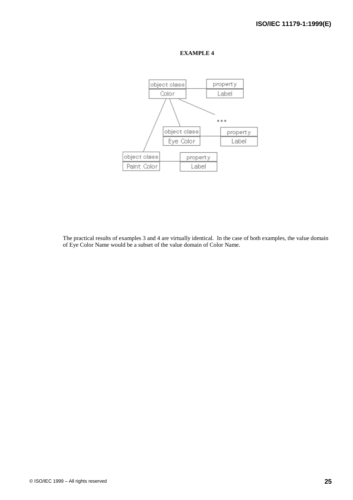

The practical results of examples 3 and 4 are virtually identical. In the case of both examples, the value domain of Eye Color Name would be a subset of the value domain of Color Name.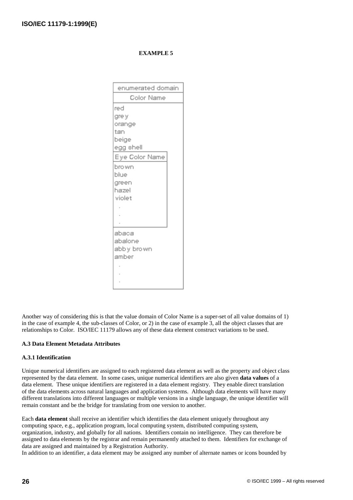| enumerated domain |
|-------------------|
| Color Name        |
| red               |
| gre y             |
| orange            |
| tan               |
| beige             |
| egg shell         |
| Eye Color Name    |
| bro wn            |
| blue              |
| green             |
| hazel             |
| violet            |
|                   |
|                   |
|                   |
| abaca             |
| abalone           |
| abbly brown       |
| amber             |
|                   |
|                   |
|                   |

Another way of considering this is that the value domain of Color Name is a super-set of all value domains of 1) in the case of example 4, the sub-classes of Color, or 2) in the case of example 3, all the object classes that are relationships to Color. ISO/IEC 11179 allows any of these data element construct variations to be used.

#### **A.3 Data Element Metadata Attributes**

#### **A.3.1 Identification**

Unique numerical identifiers are assigned to each registered data element as well as the property and object class represented by the data element. In some cases, unique numerical identifiers are also given **data values** of a data element. These unique identifiers are registered in a data element registry. They enable direct translation of the data elements across natural languages and application systems. Although data elements will have many different translations into different languages or multiple versions in a single language, the unique identifier will remain constant and be the bridge for translating from one version to another.

Each **data element** shall receive an identifier which identifies the data element uniquely throughout any computing space, e.g., application program, local computing system, distributed computing system, organization, industry, and globally for all nations. Identifiers contain no intelligence. They can therefore be assigned to data elements by the registrar and remain permanently attached to them. Identifiers for exchange of data are assigned and maintained by a Registration Authority.

In addition to an identifier, a data element may be assigned any number of alternate names or icons bounded by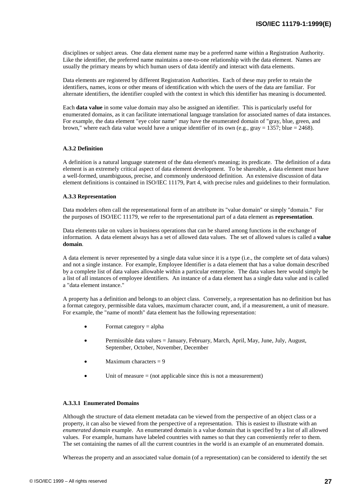disciplines or subject areas. One data element name may be a preferred name within a Registration Authority. Like the identifier, the preferred name maintains a one-to-one relationship with the data element. Names are usually the primary means by which human users of data identify and interact with data elements.

Data elements are registered by different Registration Authorities. Each of these may prefer to retain the identifiers, names, icons or other means of identification with which the users of the data are familiar. For alternate identifiers, the identifier coupled with the context in which this identifier has meaning is documented.

Each **data value** in some value domain may also be assigned an identifier. This is particularly useful for enumerated domains, as it can facilitate international language translation for associated names of data instances. For example, the data element "eye color name" may have the enumerated domain of "gray, blue, green, and brown," where each data value would have a unique identifier of its own (e.g., gray = 1357; blue = 2468).

#### **A.3.2 Definition**

A definition is a natural language statement of the data element's meaning; its predicate. The definition of a data element is an extremely critical aspect of data element development. To be shareable, a data element must have a well-formed, unambiguous, precise, and commonly understood definition. An extensive discussion of data element definitions is contained in ISO/IEC 11179, Part 4, with precise rules and guidelines to their formulation.

#### **A.3.3 Representation**

Data modelers often call the representational form of an attribute its "value domain" or simply "domain." For the purposes of ISO/IEC 11179, we refer to the representational part of a data element as **representation**.

Data elements take on values in business operations that can be shared among functions in the exchange of information. A data element always has a set of allowed data values. The set of allowed values is called a **value domain**.

A data element is never represented by a single data value since it is a type (i.e., the complete set of data values) and not a single instance. For example, Employee Identifier is a data element that has a value domain described by a complete list of data values allowable within a particular enterprise. The data values here would simply be a list of all instances of employee identifiers. An instance of a data element has a single data value and is called a "data element instance."

A property has a definition and belongs to an object class. Conversely, a representation has no definition but has a format category, permissible data values, maximum character count, and, if a measurement, a unit of measure. For example, the "name of month" data element has the following representation:

- Format category = alpha
- Permissible data values = January, February, March, April, May, June, July, August, September, October, November, December
- Maximum characters  $= 9$
- Unit of measure  $=$  (not applicable since this is not a measurement)

#### **A.3.3.1 Enumerated Domains**

Although the structure of data element metadata can be viewed from the perspective of an object class or a property, it can also be viewed from the perspective of a representation. This is easiest to illustrate with an *enumerated domain* example. An enumerated domain is a value domain that is specified by a list of all allowed values. For example, humans have labeled countries with names so that they can conveniently refer to them. The set containing the names of all the current countries in the world is an example of an enumerated domain.

Whereas the property and an associated value domain (of a representation) can be considered to identify the set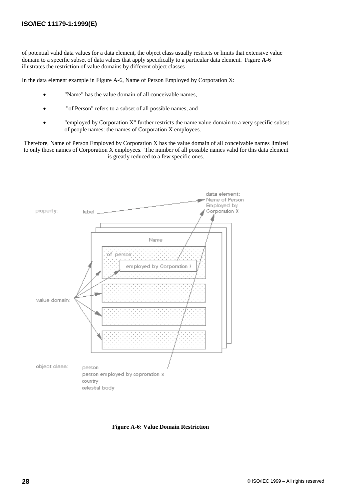of potential valid data values for a data element, the object class usually restricts or limits that extensive value domain to a specific subset of data values that apply specifically to a particular data element. Figure **A**-6 illustrates the restriction of value domains by different object classes

In the data element example in Figure A-6, Name of Person Employed by Corporation X:

- "Name" has the value domain of all conceivable names,
- "of Person" refers to a subset of all possible names, and
- "employed by Corporation X" further restricts the name value domain to a very specific subset of people names: the names of Corporation X employees.

Therefore, Name of Person Employed by Corporation X has the value domain of all conceivable names limited to only those names of Corporation X employees. The number of all possible names valid for this data element is greatly reduced to a few specific ones.



**Figure A-6: Value Domain Restriction**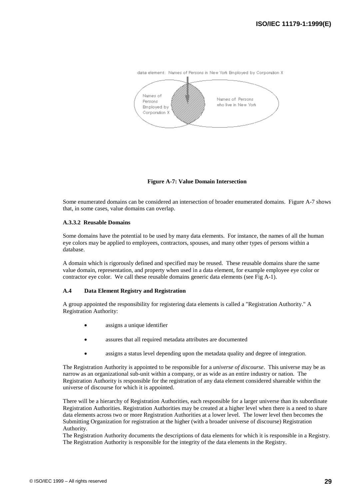

**Figure A-7: Value Domain Intersection**

Some enumerated domains can be considered an intersection of broader enumerated domains. Figure A-7 shows that, in some cases, value domains can overlap.

#### **A.3.3.2 Reusable Domains**

Some domains have the potential to be used by many data elements. For instance, the names of all the human eye colors may be applied to employees, contractors, spouses, and many other types of persons within a database.

A domain which is rigorously defined and specified may be reused. These reusable domains share the same value domain, representation, and property when used in a data element, for example employee eye color or contractor eye color. We call these reusable domains generic data elements (see Fig A-1).

#### **A.4 Data Element Registry and Registration**

A group appointed the responsibility for registering data elements is called a "Registration Authority." A Registration Authority:

- assigns a unique identifier
- assures that all required metadata attributes are documented
- assigns a status level depending upon the metadata quality and degree of integration.

The Registration Authority is appointed to be responsible for a *universe of discourse*. This universe may be as narrow as an organizational sub-unit within a company, or as wide as an entire industry or nation. The Registration Authority is responsible for the registration of any data element considered shareable within the universe of discourse for which it is appointed.

There will be a hierarchy of Registration Authorities, each responsible for a larger universe than its subordinate Registration Authorities. Registration Authorities may be created at a higher level when there is a need to share data elements across two or more Registration Authorities at a lower level. The lower level then becomes the Submitting Organization for registration at the higher (with a broader universe of discourse) Registration Authority.

The Registration Authority documents the descriptions of data elements for which it is responsible in a Registry. The Registration Authority is responsible for the integrity of the data elements in the Registry.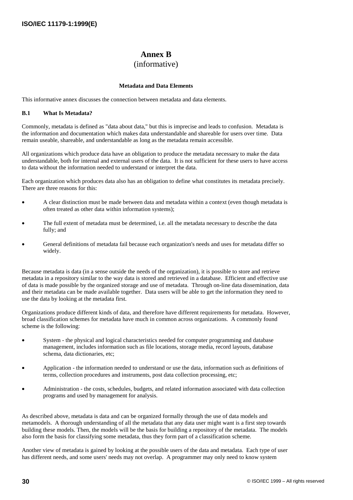### **Annex B** (informative)

#### **Metadata and Data Elements**

This informative annex discusses the connection between metadata and data elements.

#### **B.1 What Is Metadata?**

Commonly, metadata is defined as "data about data," but this is imprecise and leads to confusion. Metadata is the information and documentation which makes data understandable and shareable for users over time. Data remain useable, shareable, and understandable as long as the metadata remain accessible.

All organizations which produce data have an obligation to produce the metadata necessary to make the data understandable, both for internal and external users of the data. It is not sufficient for these users to have access to data without the information needed to understand or interpret the data.

Each organization which produces data also has an obligation to define what constitutes its metadata precisely. There are three reasons for this:

- A clear distinction must be made between data and metadata within a context (even though metadata is often treated as other data within information systems);
- The full extent of metadata must be determined, i.e. all the metadata necessary to describe the data fully; and
- General definitions of metadata fail because each organization's needs and uses for metadata differ so widely.

Because metadata is data (in a sense outside the needs of the organization), it is possible to store and retrieve metadata in a repository similar to the way data is stored and retrieved in a database. Efficient and effective use of data is made possible by the organized storage and use of metadata. Through on-line data dissemination, data and their metadata can be made available together. Data users will be able to get the information they need to use the data by looking at the metadata first.

Organizations produce different kinds of data, and therefore have different requirements for metadata. However, broad classification schemes for metadata have much in common across organizations. A commonly found scheme is the following:

- System the physical and logical characteristics needed for computer programming and database management, includes information such as file locations, storage media, record layouts, database schema, data dictionaries, etc;
- Application the information needed to understand or use the data, information such as definitions of terms, collection procedures and instruments, post data collection processing, etc;
- Administration the costs, schedules, budgets, and related information associated with data collection programs and used by management for analysis.

As described above, metadata is data and can be organized formally through the use of data models and metamodels. A thorough understanding of all the metadata that any data user might want is a first step towards building these models. Then, the models will be the basis for building a repository of the metadata. The models also form the basis for classifying some metadata, thus they form part of a classification scheme.

Another view of metadata is gained by looking at the possible users of the data and metadata. Each type of user has different needs, and some users' needs may not overlap. A programmer may only need to know system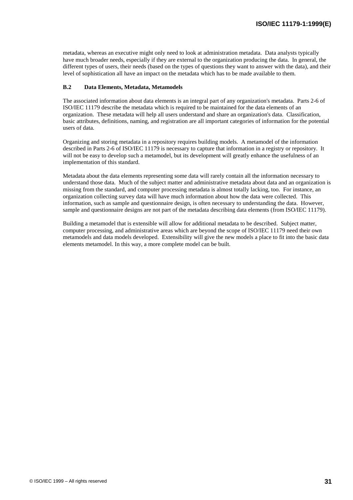metadata, whereas an executive might only need to look at administration metadata. Data analysts typically have much broader needs, especially if they are external to the organization producing the data. In general, the different types of users, their needs (based on the types of questions they want to answer with the data), and their level of sophistication all have an impact on the metadata which has to be made available to them.

#### **B.2 Data Elements, Metadata, Metamodels**

The associated information about data elements is an integral part of any organization's metadata. Parts 2-6 of ISO/IEC 11179 describe the metadata which is required to be maintained for the data elements of an organization. These metadata will help all users understand and share an organization's data. Classification, basic attributes, definitions, naming, and registration are all important categories of information for the potential users of data.

Organizing and storing metadata in a repository requires building models. A metamodel of the information described in Parts 2-6 of ISO/IEC 11179 is necessary to capture that information in a registry or repository. It will not be easy to develop such a metamodel, but its development will greatly enhance the usefulness of an implementation of this standard.

Metadata about the data elements representing some data will rarely contain all the information necessary to understand those data. Much of the subject matter and administrative metadata about data and an organization is missing from the standard, and computer processing metadata is almost totally lacking, too. For instance, an organization collecting survey data will have much information about how the data were collected. This information, such as sample and questionnaire design, is often necessary to understanding the data. However, sample and questionnaire designs are not part of the metadata describing data elements (from ISO/IEC 11179).

Building a metamodel that is extensible will allow for additional metadata to be described. Subject matter, computer processing, and administrative areas which are beyond the scope of ISO/IEC 11179 need their own metamodels and data models developed. Extensibility will give the new models a place to fit into the basic data elements metamodel. In this way, a more complete model can be built.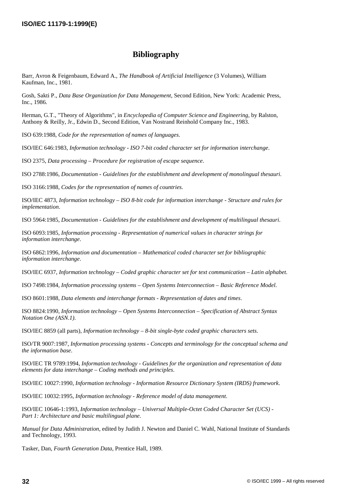### **Bibliography**

Barr, Avron & Feigenbaum, Edward A., *The Handbook of Artificial Intelligence* (3 Volumes), William Kaufman, Inc., 1981.

Gosh, Sakti P., *Data Base Organization for Data Management*, Second Edition, New York: Academic Press, Inc., 1986.

Herman, G.T., "Theory of Algorithms", in *Encyclopedia of Computer Science and Engineering*, by Ralston, Anthony & Reilly, Jr., Edwin D., Second Edition, Van Nostrand Reinhold Company Inc., 1983.

ISO 639:1988, *Code for the representation of names of languages*.

ISO/IEC 646:1983, *Information technology - ISO 7-bit coded character set for information interchange*.

ISO 2375, *Data processing – Procedure for registration of escape sequence*.

ISO 2788:1986, *Documentation - Guidelines for the establishment and development of monolingual thesauri*.

ISO 3166:1988, *Codes for the representation of names of countries*.

ISO/IEC 4873*, Information technology – ISO 8-bit code for information interchange - Structure and rules for implementation*.

ISO 5964:1985, *Documentation - Guidelines for the establishment and development of multilingual thesauri*.

ISO 6093:1985, *Information processing - Representation of numerical values in character strings for information interchange*.

ISO 6862:1996*, Information and documentation – Mathematical coded character set for bibliographic information interchange*.

ISO/IEC 6937, *Information technology – Coded graphic character set for text communication – Latin alphabet*.

ISO 7498:1984, *Information processing systems – Open Systems Interconnection – Basic Reference Model*.

ISO 8601:1988, *Data elements and interchange formats - Representation of dates and times*.

ISO 8824:1990, *Information technology – Open Systems Interconnection – Specification of Abstract Syntax Notation One (ASN.1)*.

ISO/IEC 8859 (all parts), *Information technology – 8-bit single-byte coded graphic characters sets*.

ISO/TR 9007:1987, *Information processing systems - Concepts and terminology for the conceptual schema and the information base*.

ISO/IEC TR 9789:1994, *Information technology - Guidelines for the organization and representation of data elements for data interchange – Coding methods and principles*.

ISO/IEC 10027:1990, *Information technology - Information Resource Dictionary System (IRDS) framework*.

ISO/IEC 10032:1995, *Information technology - Reference model of data management*.

ISO/IEC 10646-1:1993, *Information technology – Universal Multiple-Octet Coded Character Set (UCS) - Part 1: Architecture and basic multilingual plane*.

*Manual for Data Administration*, edited by Judith J. Newton and Daniel C. Wahl, National Institute of Standards and Technology, 1993.

Tasker, Dan, *Fourth Generation Data*, Prentice Hall, 1989.